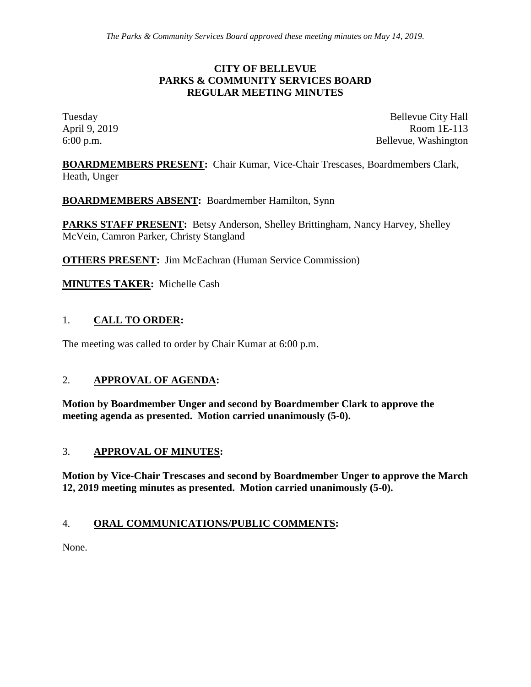#### **CITY OF BELLEVUE PARKS & COMMUNITY SERVICES BOARD REGULAR MEETING MINUTES**

Tuesday Bellevue City Hall April 9, 2019 Room 1E-113 6:00 p.m. Bellevue, Washington

**BOARDMEMBERS PRESENT:** Chair Kumar, Vice-Chair Trescases, Boardmembers Clark, Heath, Unger

**BOARDMEMBERS ABSENT:** Boardmember Hamilton, Synn

**PARKS STAFF PRESENT:** Betsy Anderson, Shelley Brittingham, Nancy Harvey, Shelley McVein, Camron Parker, Christy Stangland

**OTHERS PRESENT:** Jim McEachran (Human Service Commission)

**MINUTES TAKER:** Michelle Cash

### 1. **CALL TO ORDER:**

The meeting was called to order by Chair Kumar at 6:00 p.m.

### 2. **APPROVAL OF AGENDA:**

**Motion by Boardmember Unger and second by Boardmember Clark to approve the meeting agenda as presented. Motion carried unanimously (5-0).**

#### 3. **APPROVAL OF MINUTES:**

**Motion by Vice-Chair Trescases and second by Boardmember Unger to approve the March 12, 2019 meeting minutes as presented. Motion carried unanimously (5-0).**

#### 4. **ORAL COMMUNICATIONS/PUBLIC COMMENTS:**

None.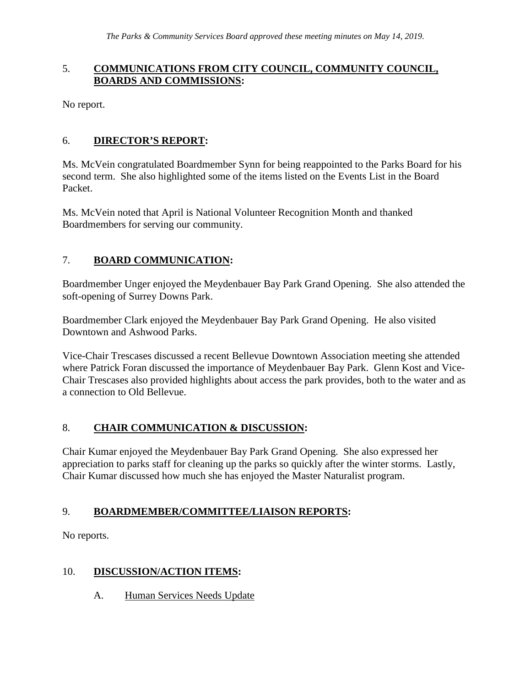### 5. **COMMUNICATIONS FROM CITY COUNCIL, COMMUNITY COUNCIL, BOARDS AND COMMISSIONS:**

No report.

### 6. **DIRECTOR'S REPORT:**

Ms. McVein congratulated Boardmember Synn for being reappointed to the Parks Board for his second term. She also highlighted some of the items listed on the Events List in the Board Packet.

Ms. McVein noted that April is National Volunteer Recognition Month and thanked Boardmembers for serving our community.

# 7. **BOARD COMMUNICATION:**

Boardmember Unger enjoyed the Meydenbauer Bay Park Grand Opening. She also attended the soft-opening of Surrey Downs Park.

Boardmember Clark enjoyed the Meydenbauer Bay Park Grand Opening. He also visited Downtown and Ashwood Parks.

Vice-Chair Trescases discussed a recent Bellevue Downtown Association meeting she attended where Patrick Foran discussed the importance of Meydenbauer Bay Park. Glenn Kost and Vice-Chair Trescases also provided highlights about access the park provides, both to the water and as a connection to Old Bellevue.

### 8. **CHAIR COMMUNICATION & DISCUSSION:**

Chair Kumar enjoyed the Meydenbauer Bay Park Grand Opening. She also expressed her appreciation to parks staff for cleaning up the parks so quickly after the winter storms. Lastly, Chair Kumar discussed how much she has enjoyed the Master Naturalist program.

### 9. **BOARDMEMBER/COMMITTEE/LIAISON REPORTS:**

No reports.

# 10. **DISCUSSION/ACTION ITEMS:**

A. Human Services Needs Update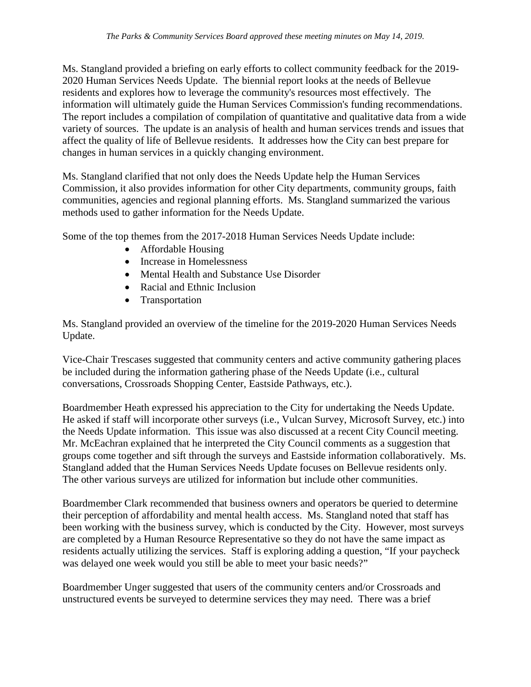Ms. Stangland provided a briefing on early efforts to collect community feedback for the 2019- 2020 Human Services Needs Update. The biennial report looks at the needs of Bellevue residents and explores how to leverage the community's resources most effectively. The information will ultimately guide the Human Services Commission's funding recommendations. The report includes a compilation of compilation of quantitative and qualitative data from a wide variety of sources. The update is an analysis of health and human services trends and issues that affect the quality of life of Bellevue residents. It addresses how the City can best prepare for changes in human services in a quickly changing environment.

Ms. Stangland clarified that not only does the Needs Update help the Human Services Commission, it also provides information for other City departments, community groups, faith communities, agencies and regional planning efforts. Ms. Stangland summarized the various methods used to gather information for the Needs Update.

Some of the top themes from the 2017-2018 Human Services Needs Update include:

- Affordable Housing
- Increase in Homelessness
- Mental Health and Substance Use Disorder
- Racial and Ethnic Inclusion
- Transportation

Ms. Stangland provided an overview of the timeline for the 2019-2020 Human Services Needs Update.

Vice-Chair Trescases suggested that community centers and active community gathering places be included during the information gathering phase of the Needs Update (i.e., cultural conversations, Crossroads Shopping Center, Eastside Pathways, etc.).

Boardmember Heath expressed his appreciation to the City for undertaking the Needs Update. He asked if staff will incorporate other surveys (i.e., Vulcan Survey, Microsoft Survey, etc.) into the Needs Update information. This issue was also discussed at a recent City Council meeting. Mr. McEachran explained that he interpreted the City Council comments as a suggestion that groups come together and sift through the surveys and Eastside information collaboratively. Ms. Stangland added that the Human Services Needs Update focuses on Bellevue residents only. The other various surveys are utilized for information but include other communities.

Boardmember Clark recommended that business owners and operators be queried to determine their perception of affordability and mental health access. Ms. Stangland noted that staff has been working with the business survey, which is conducted by the City. However, most surveys are completed by a Human Resource Representative so they do not have the same impact as residents actually utilizing the services. Staff is exploring adding a question, "If your paycheck was delayed one week would you still be able to meet your basic needs?"

Boardmember Unger suggested that users of the community centers and/or Crossroads and unstructured events be surveyed to determine services they may need. There was a brief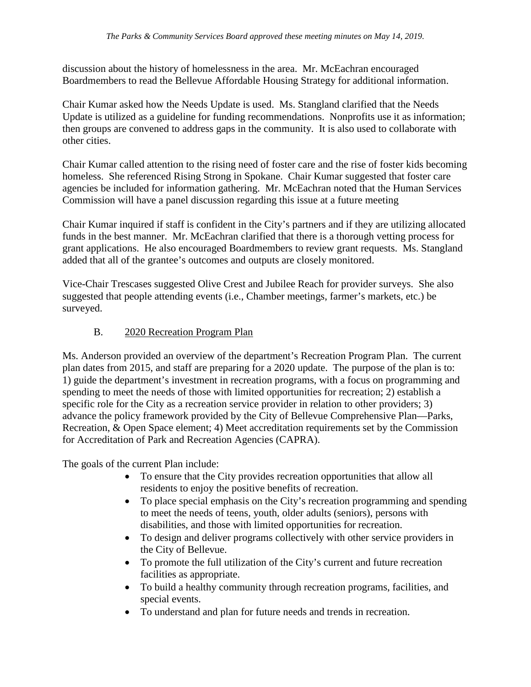discussion about the history of homelessness in the area. Mr. McEachran encouraged Boardmembers to read the Bellevue Affordable Housing Strategy for additional information.

Chair Kumar asked how the Needs Update is used. Ms. Stangland clarified that the Needs Update is utilized as a guideline for funding recommendations. Nonprofits use it as information; then groups are convened to address gaps in the community. It is also used to collaborate with other cities.

Chair Kumar called attention to the rising need of foster care and the rise of foster kids becoming homeless. She referenced Rising Strong in Spokane. Chair Kumar suggested that foster care agencies be included for information gathering. Mr. McEachran noted that the Human Services Commission will have a panel discussion regarding this issue at a future meeting

Chair Kumar inquired if staff is confident in the City's partners and if they are utilizing allocated funds in the best manner. Mr. McEachran clarified that there is a thorough vetting process for grant applications. He also encouraged Boardmembers to review grant requests. Ms. Stangland added that all of the grantee's outcomes and outputs are closely monitored.

Vice-Chair Trescases suggested Olive Crest and Jubilee Reach for provider surveys. She also suggested that people attending events (i.e., Chamber meetings, farmer's markets, etc.) be surveyed.

# B. 2020 Recreation Program Plan

Ms. Anderson provided an overview of the department's Recreation Program Plan. The current plan dates from 2015, and staff are preparing for a 2020 update. The purpose of the plan is to: 1) guide the department's investment in recreation programs, with a focus on programming and spending to meet the needs of those with limited opportunities for recreation; 2) establish a specific role for the City as a recreation service provider in relation to other providers; 3) advance the policy framework provided by the City of Bellevue Comprehensive Plan—Parks, Recreation, & Open Space element; 4) Meet accreditation requirements set by the Commission for Accreditation of Park and Recreation Agencies (CAPRA).

The goals of the current Plan include:

- To ensure that the City provides recreation opportunities that allow all residents to enjoy the positive benefits of recreation.
- To place special emphasis on the City's recreation programming and spending to meet the needs of teens, youth, older adults (seniors), persons with disabilities, and those with limited opportunities for recreation.
- To design and deliver programs collectively with other service providers in the City of Bellevue.
- To promote the full utilization of the City's current and future recreation facilities as appropriate.
- To build a healthy community through recreation programs, facilities, and special events.
- To understand and plan for future needs and trends in recreation.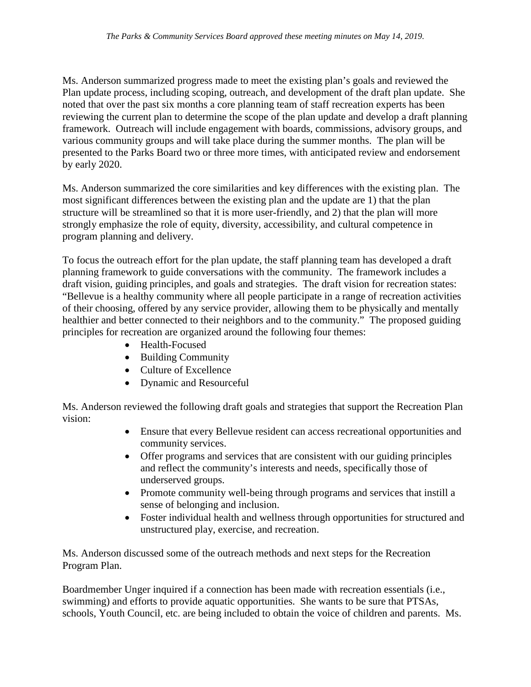Ms. Anderson summarized progress made to meet the existing plan's goals and reviewed the Plan update process, including scoping, outreach, and development of the draft plan update. She noted that over the past six months a core planning team of staff recreation experts has been reviewing the current plan to determine the scope of the plan update and develop a draft planning framework. Outreach will include engagement with boards, commissions, advisory groups, and various community groups and will take place during the summer months. The plan will be presented to the Parks Board two or three more times, with anticipated review and endorsement by early 2020.

Ms. Anderson summarized the core similarities and key differences with the existing plan. The most significant differences between the existing plan and the update are 1) that the plan structure will be streamlined so that it is more user-friendly, and 2) that the plan will more strongly emphasize the role of equity, diversity, accessibility, and cultural competence in program planning and delivery.

To focus the outreach effort for the plan update, the staff planning team has developed a draft planning framework to guide conversations with the community. The framework includes a draft vision, guiding principles, and goals and strategies. The draft vision for recreation states: "Bellevue is a healthy community where all people participate in a range of recreation activities of their choosing, offered by any service provider, allowing them to be physically and mentally healthier and better connected to their neighbors and to the community." The proposed guiding principles for recreation are organized around the following four themes:

- Health-Focused
- Building Community
- Culture of Excellence
- Dynamic and Resourceful

Ms. Anderson reviewed the following draft goals and strategies that support the Recreation Plan vision:

- Ensure that every Bellevue resident can access recreational opportunities and community services.
- Offer programs and services that are consistent with our guiding principles and reflect the community's interests and needs, specifically those of underserved groups.
- Promote community well-being through programs and services that instill a sense of belonging and inclusion.
- Foster individual health and wellness through opportunities for structured and unstructured play, exercise, and recreation.

Ms. Anderson discussed some of the outreach methods and next steps for the Recreation Program Plan.

Boardmember Unger inquired if a connection has been made with recreation essentials (i.e., swimming) and efforts to provide aquatic opportunities. She wants to be sure that PTSAs, schools, Youth Council, etc. are being included to obtain the voice of children and parents. Ms.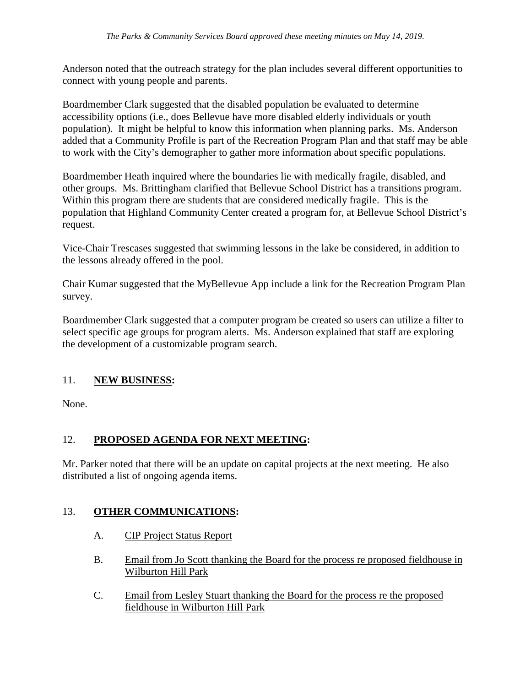Anderson noted that the outreach strategy for the plan includes several different opportunities to connect with young people and parents.

Boardmember Clark suggested that the disabled population be evaluated to determine accessibility options (i.e., does Bellevue have more disabled elderly individuals or youth population). It might be helpful to know this information when planning parks. Ms. Anderson added that a Community Profile is part of the Recreation Program Plan and that staff may be able to work with the City's demographer to gather more information about specific populations.

Boardmember Heath inquired where the boundaries lie with medically fragile, disabled, and other groups. Ms. Brittingham clarified that Bellevue School District has a transitions program. Within this program there are students that are considered medically fragile. This is the population that Highland Community Center created a program for, at Bellevue School District's request.

Vice-Chair Trescases suggested that swimming lessons in the lake be considered, in addition to the lessons already offered in the pool.

Chair Kumar suggested that the MyBellevue App include a link for the Recreation Program Plan survey.

Boardmember Clark suggested that a computer program be created so users can utilize a filter to select specific age groups for program alerts. Ms. Anderson explained that staff are exploring the development of a customizable program search.

# 11. **NEW BUSINESS:**

None.

# 12. **PROPOSED AGENDA FOR NEXT MEETING:**

Mr. Parker noted that there will be an update on capital projects at the next meeting. He also distributed a list of ongoing agenda items.

### 13. **OTHER COMMUNICATIONS:**

- A. CIP Project Status Report
- B. Email from Jo Scott thanking the Board for the process re proposed fieldhouse in Wilburton Hill Park
- C. Email from Lesley Stuart thanking the Board for the process re the proposed fieldhouse in Wilburton Hill Park